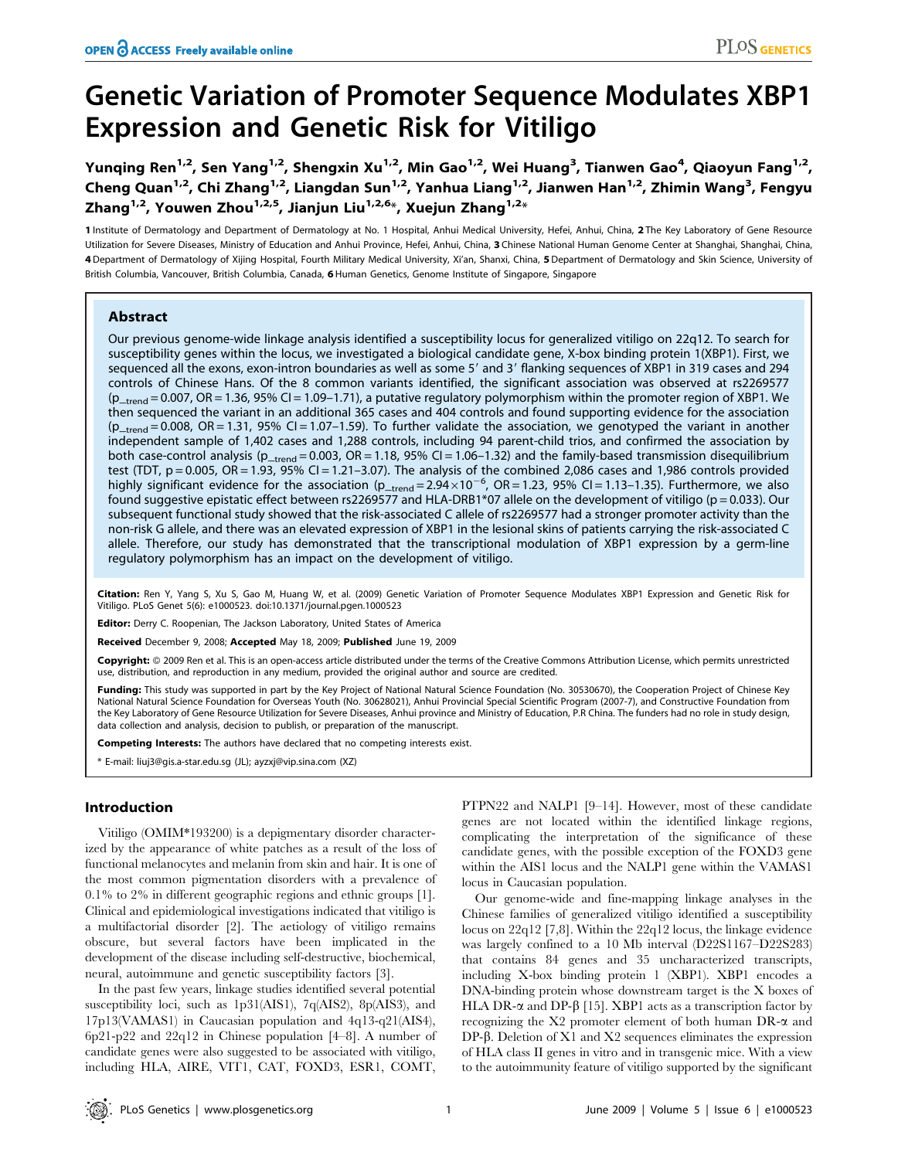# Genetic Variation of Promoter Sequence Modulates XBP1 Expression and Genetic Risk for Vitiligo

Yunqing Ren $^{1,2}$ , Sen Yang $^{1,2}$ , Shengxin Xu $^{1,2}$ , Min Gao $^{1,2}$ , Wei Huang $^3$ , Tianwen Gao $^4$ , Qiaoyun Fang $^{1,2}$ , Cheng Quan<sup>1,2</sup>, Chi Zhang<sup>1,2</sup>, Liangdan Sun<sup>1,2</sup>, Yanhua Liang<sup>1,2</sup>, Jianwen Han<sup>1,2</sup>, Zhimin Wang<sup>3</sup>, Fengyu Zhang<sup>1,2</sup>, Youwen Zhou<sup>1,2,5</sup>, Jianjun Liu<sup>1,2,6</sup>\*, Xuejun Zhang<sup>1,2\*</sup>

1 Institute of Dermatology and Department of Dermatology at No. 1 Hospital, Anhui Medical University, Hefei, Anhui, China, 2 The Key Laboratory of Gene Resource Utilization for Severe Diseases, Ministry of Education and Anhui Province, Hefei, Anhui, China, 3 Chinese National Human Genome Center at Shanghai, Shanghai, China, 4 Department of Dermatology of Xijing Hospital, Fourth Military Medical University, Xi'an, Shanxi, China, 5 Department of Dermatology and Skin Science, University of British Columbia, Vancouver, British Columbia, Canada, 6 Human Genetics, Genome Institute of Singapore, Singapore

# Abstract

Our previous genome-wide linkage analysis identified a susceptibility locus for generalized vitiligo on 22q12. To search for susceptibility genes within the locus, we investigated a biological candidate gene, X-box binding protein 1(XBP1). First, we sequenced all the exons, exon-intron boundaries as well as some 5' and 3' flanking sequences of XBP1 in 319 cases and 294 controls of Chinese Hans. Of the 8 common variants identified, the significant association was observed at rs2269577  $(p_{\text{trend}} = 0.007, \text{OR} = 1.36, 95\% \text{ CI} = 1.09 - 1.71)$ , a putative regulatory polymorphism within the promoter region of XBP1. We then sequenced the variant in an additional 365 cases and 404 controls and found supporting evidence for the association  $(p_{\text{trend}} = 0.008, \text{ OR } = 1.31, 95\% \text{ CI } = 1.07 - 1.59$ . To further validate the association, we genotyped the variant in another independent sample of 1,402 cases and 1,288 controls, including 94 parent-child trios, and confirmed the association by both case-control analysis ( $p_{\text{trend}} = 0.003$ ,  $OR = 1.18$ , 95% CI = 1.06-1.32) and the family-based transmission disequilibrium test (TDT,  $p = 0.005$ ,  $OR = 1.93$ ,  $95\%$  CI = 1.21-3.07). The analysis of the combined 2,086 cases and 1,986 controls provided highly significant evidence for the association (p\_trend=2.94×10<sup>-6</sup>, OR=1.23, 95% CI=1.13-1.35). Furthermore, we also found suggestive epistatic effect between rs2269577 and HLA-DRB1\*07 allele on the development of vitiligo (p = 0.033). Our subsequent functional study showed that the risk-associated C allele of rs2269577 had a stronger promoter activity than the non-risk G allele, and there was an elevated expression of XBP1 in the lesional skins of patients carrying the risk-associated C allele. Therefore, our study has demonstrated that the transcriptional modulation of XBP1 expression by a germ-line regulatory polymorphism has an impact on the development of vitiligo.

Citation: Ren Y, Yang S, Xu S, Gao M, Huang W, et al. (2009) Genetic Variation of Promoter Sequence Modulates XBP1 Expression and Genetic Risk for Vitiligo. PLoS Genet 5(6): e1000523. doi:10.1371/journal.pgen.1000523

Editor: Derry C. Roopenian, The Jackson Laboratory, United States of America

Received December 9, 2008; Accepted May 18, 2009; Published June 19, 2009

Copyright: 2009 Ren et al. This is an open-access article distributed under the terms of the Creative Commons Attribution License, which permits unrestricted use, distribution, and reproduction in any medium, provided the original author and source are credited.

Funding: This study was supported in part by the Key Project of National Natural Science Foundation (No. 30530670), the Cooperation Project of Chinese Key National Natural Science Foundation for Overseas Youth (No. 30628021), Anhui Provincial Special Scientific Program (2007-7), and Constructive Foundation from the Key Laboratory of Gene Resource Utilization for Severe Diseases, Anhui province and Ministry of Education, P.R China. The funders had no role in study design, data collection and analysis, decision to publish, or preparation of the manuscript.

Competing Interests: The authors have declared that no competing interests exist.

\* E-mail: liuj3@gis.a-star.edu.sg (JL); ayzxj@vip.sina.com (XZ)

# Introduction

Vitiligo (OMIM\*193200) is a depigmentary disorder characterized by the appearance of white patches as a result of the loss of functional melanocytes and melanin from skin and hair. It is one of the most common pigmentation disorders with a prevalence of 0.1% to 2% in different geographic regions and ethnic groups [1]. Clinical and epidemiological investigations indicated that vitiligo is a multifactorial disorder [2]. The aetiology of vitiligo remains obscure, but several factors have been implicated in the development of the disease including self-destructive, biochemical, neural, autoimmune and genetic susceptibility factors [3].

In the past few years, linkage studies identified several potential susceptibility loci, such as 1p31(AIS1), 7q(AIS2), 8p(AIS3), and 17p13(VAMAS1) in Caucasian population and 4q13-q21(AIS4), 6p21-p22 and 22q12 in Chinese population [4–8]. A number of candidate genes were also suggested to be associated with vitiligo, including HLA, AIRE, VIT1, CAT, FOXD3, ESR1, COMT,

PTPN22 and NALP1 [9–14]. However, most of these candidate genes are not located within the identified linkage regions, complicating the interpretation of the significance of these candidate genes, with the possible exception of the FOXD3 gene within the AIS1 locus and the NALP1 gene within the VAMAS1 locus in Caucasian population.

Our genome-wide and fine-mapping linkage analyses in the Chinese families of generalized vitiligo identified a susceptibility locus on 22q12 [7,8]. Within the 22q12 locus, the linkage evidence was largely confined to a 10 Mb interval (D22S1167–D22S283) that contains 84 genes and 35 uncharacterized transcripts, including X-box binding protein 1 (XBP1). XBP1 encodes a DNA-binding protein whose downstream target is the X boxes of HLA DR- $\alpha$  and DP-β [15]. XBP1 acts as a transcription factor by recognizing the  $X2$  promoter element of both human DR- $\alpha$  and DP-b. Deletion of X1 and X2 sequences eliminates the expression of HLA class II genes in vitro and in transgenic mice. With a view to the autoimmunity feature of vitiligo supported by the significant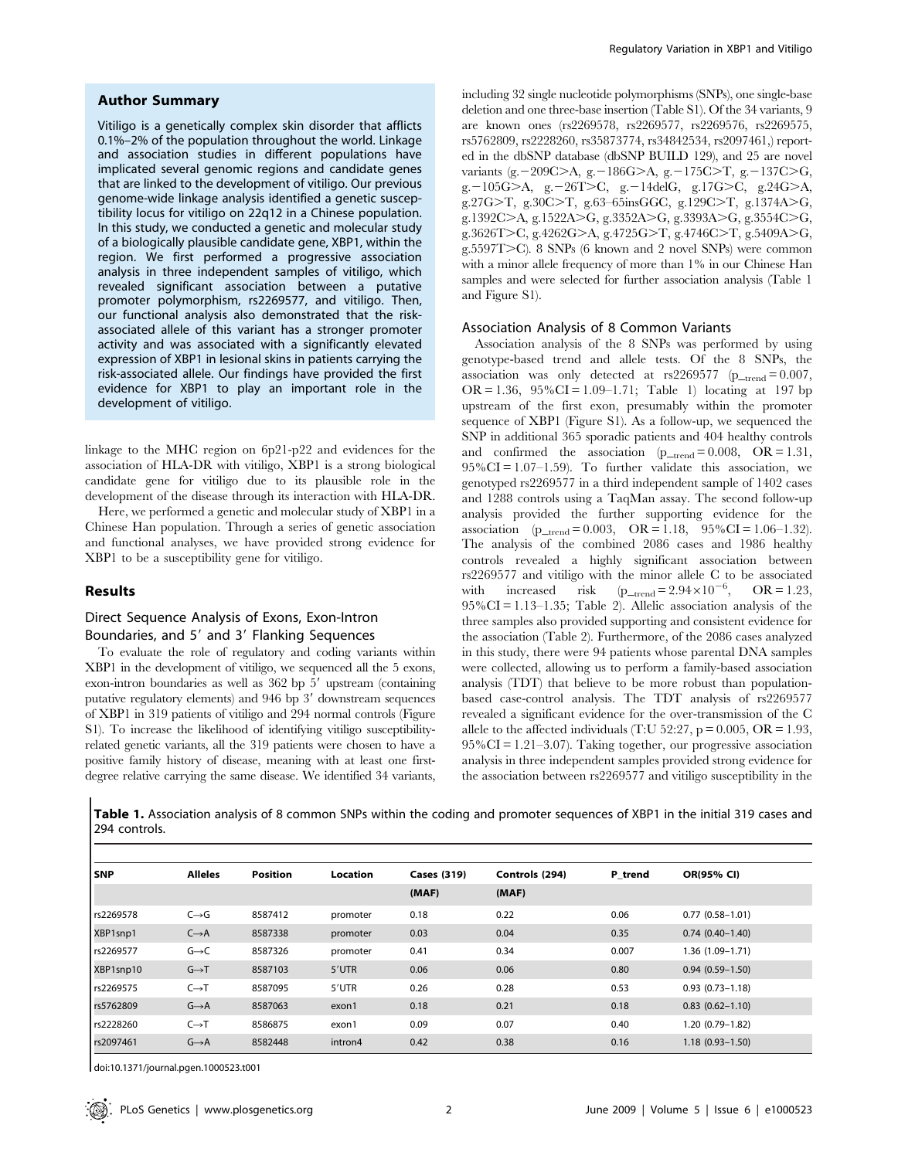## Author Summary

Vitiligo is a genetically complex skin disorder that afflicts 0.1%–2% of the population throughout the world. Linkage and association studies in different populations have implicated several genomic regions and candidate genes that are linked to the development of vitiligo. Our previous genome-wide linkage analysis identified a genetic susceptibility locus for vitiligo on 22q12 in a Chinese population. In this study, we conducted a genetic and molecular study of a biologically plausible candidate gene, XBP1, within the region. We first performed a progressive association analysis in three independent samples of vitiligo, which revealed significant association between a putative promoter polymorphism, rs2269577, and vitiligo. Then, our functional analysis also demonstrated that the riskassociated allele of this variant has a stronger promoter activity and was associated with a significantly elevated expression of XBP1 in lesional skins in patients carrying the risk-associated allele. Our findings have provided the first evidence for XBP1 to play an important role in the development of vitiligo.

linkage to the MHC region on 6p21-p22 and evidences for the association of HLA-DR with vitiligo, XBP1 is a strong biological candidate gene for vitiligo due to its plausible role in the development of the disease through its interaction with HLA-DR.

Here, we performed a genetic and molecular study of XBP1 in a Chinese Han population. Through a series of genetic association and functional analyses, we have provided strong evidence for XBP1 to be a susceptibility gene for vitiligo.

# Results

# Direct Sequence Analysis of Exons, Exon-Intron Boundaries, and 5' and 3' Flanking Sequences

To evaluate the role of regulatory and coding variants within XBP1 in the development of vitiligo, we sequenced all the 5 exons, exon-intron boundaries as well as  $362$  bp  $5'$  upstream (containing putative regulatory elements) and  $946$  bp  $3'$  downstream sequences of XBP1 in 319 patients of vitiligo and 294 normal controls (Figure S1). To increase the likelihood of identifying vitiligo susceptibilityrelated genetic variants, all the 319 patients were chosen to have a positive family history of disease, meaning with at least one firstdegree relative carrying the same disease. We identified 34 variants,

including 32 single nucleotide polymorphisms (SNPs), one single-base deletion and one three-base insertion (Table S1). Of the 34 variants, 9 are known ones (rs2269578, rs2269577, rs2269576, rs2269575, rs5762809, rs2228260, rs35873774, rs34842534, rs2097461,) reported in the dbSNP database (dbSNP BUILD 129), and 25 are novel variants (g. -209C $>$ A, g. -186G $>$ A, g. -175C $>$ T, g. -137C $>$ G, g. -105G $>A$ , g. -26T $>C$ , g. -14delG, g.17G $>C$ , g.24G $>A$ , g.27G $\ge$ T, g.30C $\ge$ T, g.63–65insGGC, g.129C $\ge$ T, g.1374A $\ge$ G, g.1392C>A, g.1522A>G, g.3352A>G, g.3393A>G, g.3554C>G, g.3626T>C, g.4262G>A, g.4725G>T, g.4746C>T, g.5409A>G, g.5597T $>$ C). 8 SNPs (6 known and 2 novel SNPs) were common with a minor allele frequency of more than 1% in our Chinese Han samples and were selected for further association analysis (Table 1 and Figure S1).

#### Association Analysis of 8 Common Variants

Association analysis of the 8 SNPs was performed by using genotype-based trend and allele tests. Of the 8 SNPs, the association was only detected at  $rs2269577$  ( $p_{\text{--}trend}= 0.007$ , OR = 1.36,  $95\%$ CI = 1.09–1.71; Table 1) locating at 197 bp upstream of the first exon, presumably within the promoter sequence of XBP1 (Figure S1). As a follow-up, we sequenced the SNP in additional 365 sporadic patients and 404 healthy controls and confirmed the association  $(p_{\text{trend}}= 0.008, \text{OR} = 1.31,$  $95\%$ CI = 1.07–1.59). To further validate this association, we genotyped rs2269577 in a third independent sample of 1402 cases and 1288 controls using a TaqMan assay. The second follow-up analysis provided the further supporting evidence for the association  $(p_{\text{--trend}} = 0.003, \text{OR} = 1.18, 95\% \text{CI} = 1.06-1.32).$ The analysis of the combined 2086 cases and 1986 healthy controls revealed a highly significant association between rs2269577 and vitiligo with the minor allele C to be associated with increased risk  $(p_{\text{--}trend} = 2.94 \times 10^{-6}, \text{OR} = 1.23,$  $95\%$ CI = 1.13–1.35; Table 2). Allelic association analysis of the three samples also provided supporting and consistent evidence for the association (Table 2). Furthermore, of the 2086 cases analyzed in this study, there were 94 patients whose parental DNA samples were collected, allowing us to perform a family-based association analysis (TDT) that believe to be more robust than populationbased case-control analysis. The TDT analysis of rs2269577 revealed a significant evidence for the over-transmission of the C allele to the affected individuals (T:U 52:27,  $p = 0.005$ , OR = 1.93,  $95\%$ CI = 1.21–3.07). Taking together, our progressive association analysis in three independent samples provided strong evidence for the association between rs2269577 and vitiligo susceptibility in the

Table 1. Association analysis of 8 common SNPs within the coding and promoter sequences of XBP1 in the initial 319 cases and 294 controls.

| l snp     | <b>Alleles</b>    | <b>Position</b> | <b>Location</b> | <b>Cases (319)</b> | Controls (294) | P trend | OR(95% CI)          |
|-----------|-------------------|-----------------|-----------------|--------------------|----------------|---------|---------------------|
|           |                   |                 |                 | (MAF)              | (MAF)          |         |                     |
| rs2269578 | $C \rightarrow G$ | 8587412         | promoter        | 0.18               | 0.22           | 0.06    | $0.77(0.58 - 1.01)$ |
| XBP1snp1  | $C \rightarrow A$ | 8587338         | promoter        | 0.03               | 0.04           | 0.35    | $0.74(0.40-1.40)$   |
| rs2269577 | $G \rightarrow C$ | 8587326         | promoter        | 0.41               | 0.34           | 0.007   | 1.36 (1.09–1.71)    |
| XBP1snp10 | $G \rightarrow T$ | 8587103         | 5'UTR           | 0.06               | 0.06           | 0.80    | $0.94(0.59 - 1.50)$ |
| rs2269575 | $C \rightarrow T$ | 8587095         | 5'UTR           | 0.26               | 0.28           | 0.53    | $0.93(0.73 - 1.18)$ |
| rs5762809 | $G \rightarrow A$ | 8587063         | exon1           | 0.18               | 0.21           | 0.18    | $0.83(0.62 - 1.10)$ |
| rs2228260 | $C \rightarrow T$ | 8586875         | exon1           | 0.09               | 0.07           | 0.40    | 1.20 (0.79-1.82)    |
| rs2097461 | $G \rightarrow A$ | 8582448         | intron4         | 0.42               | 0.38           | 0.16    | $1.18(0.93 - 1.50)$ |

doi:10.1371/journal.pgen.1000523.t001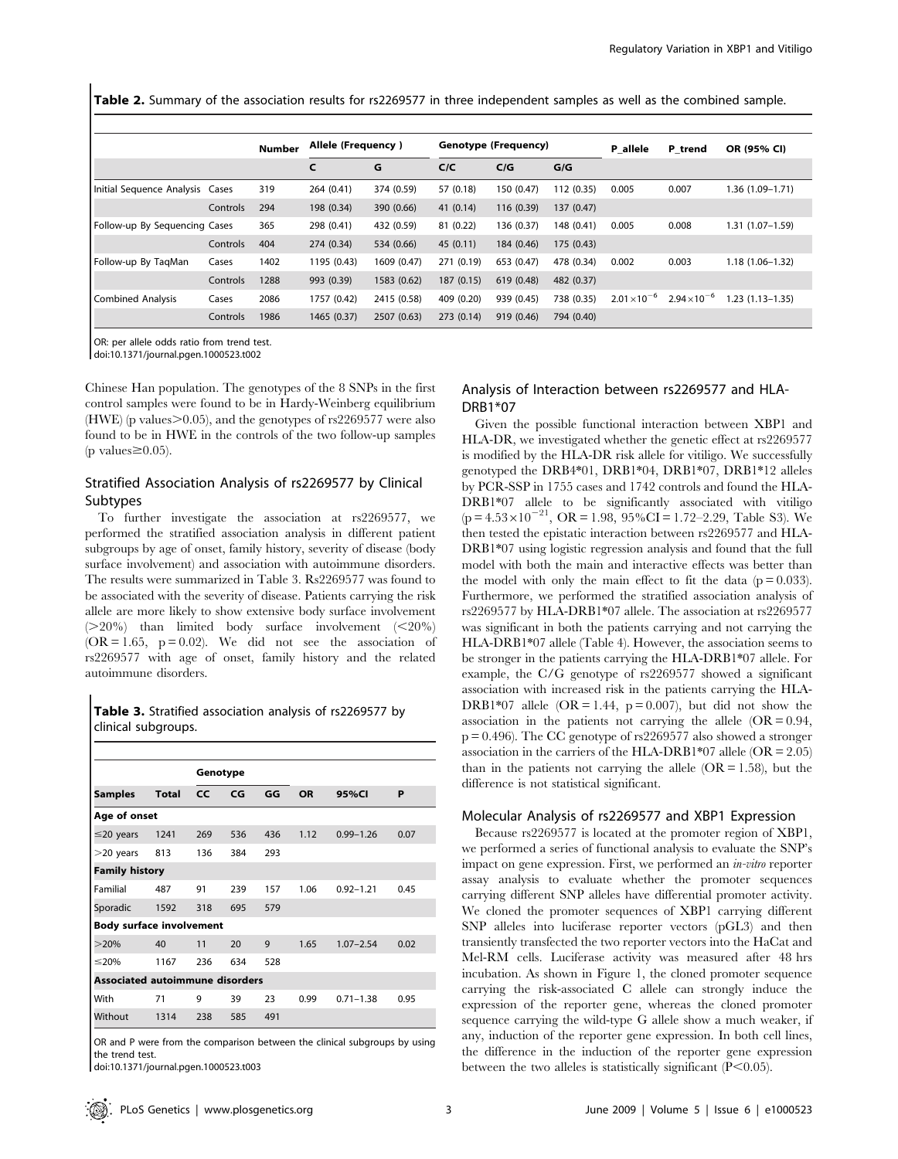Table 2. Summary of the association results for rs2269577 in three independent samples as well as the combined sample.

|                                 |          | <b>Number</b> | Allele (Frequency) |             | Genotype (Frequency) |            |            | P allele              | P trend               | OR (95% CI)         |
|---------------------------------|----------|---------------|--------------------|-------------|----------------------|------------|------------|-----------------------|-----------------------|---------------------|
|                                 |          |               | C                  | G           | C/C                  | C/G        | G/G        |                       |                       |                     |
| Initial Sequence Analysis Cases |          | 319           | 264 (0.41)         | 374 (0.59)  | 57 (0.18)            | 150 (0.47) | 112 (0.35) | 0.005                 | 0.007                 | 1.36 (1.09-1.71)    |
|                                 | Controls | 294           | 198 (0.34)         | 390 (0.66)  | 41(0.14)             | 116 (0.39) | 137 (0.47) |                       |                       |                     |
| Follow-up By Sequencing Cases   |          | 365           | 298 (0.41)         | 432 (0.59)  | 81 (0.22)            | 136 (0.37) | 148 (0.41) | 0.005                 | 0.008                 | $1.31(1.07 - 1.59)$ |
|                                 | Controls | 404           | 274 (0.34)         | 534 (0.66)  | 45(0.11)             | 184 (0.46) | 175 (0.43) |                       |                       |                     |
| Follow-up By TagMan             | Cases    | 1402          | 1195 (0.43)        | 1609 (0.47) | 271 (0.19)           | 653 (0.47) | 478 (0.34) | 0.002                 | 0.003                 | $1.18(1.06 - 1.32)$ |
|                                 | Controls | 1288          | 993 (0.39)         | 1583 (0.62) | 187 (0.15)           | 619 (0.48) | 482 (0.37) |                       |                       |                     |
| <b>Combined Analysis</b>        | Cases    | 2086          | 1757 (0.42)        | 2415 (0.58) | 409 (0.20)           | 939 (0.45) | 738 (0.35) | $2.01 \times 10^{-6}$ | $2.94 \times 10^{-6}$ | $1.23(1.13 - 1.35)$ |
|                                 | Controls | 1986          | 1465 (0.37)        | 2507 (0.63) | 273 (0.14)           | 919 (0.46) | 794 (0.40) |                       |                       |                     |

OR: per allele odds ratio from trend test.

doi:10.1371/journal.pgen.1000523.t002

Chinese Han population. The genotypes of the 8 SNPs in the first control samples were found to be in Hardy-Weinberg equilibrium  $(HWE)$  (p values $> 0.05$ ), and the genotypes of rs2269577 were also found to be in HWE in the controls of the two follow-up samples (p values $\geq 0.05$ ).

# Stratified Association Analysis of rs2269577 by Clinical Subtypes

To further investigate the association at rs2269577, we performed the stratified association analysis in different patient subgroups by age of onset, family history, severity of disease (body surface involvement) and association with autoimmune disorders. The results were summarized in Table 3. Rs2269577 was found to be associated with the severity of disease. Patients carrying the risk allele are more likely to show extensive body surface involvement  $(>=20\%)$  than limited body surface involvement  $(<=20\%)$  $(OR = 1.65, p = 0.02)$ . We did not see the association of rs2269577 with age of onset, family history and the related autoimmune disorders.

# Table 3. Stratified association analysis of rs2269577 by clinical subgroups.

|                                        |                                 | Genotype |     |     |           |               |      |  |  |
|----------------------------------------|---------------------------------|----------|-----|-----|-----------|---------------|------|--|--|
| <b>Samples</b>                         | <b>Total</b>                    | CC       | CG  | GG  | <b>OR</b> | 95%CI         | P    |  |  |
| Age of onset                           |                                 |          |     |     |           |               |      |  |  |
| $\leq$ 20 years                        | 1241                            | 269      | 536 | 436 | 1.12      | $0.99 - 1.26$ | 0.07 |  |  |
| $>$ 20 years                           | 813                             | 136      | 384 | 293 |           |               |      |  |  |
|                                        | <b>Family history</b>           |          |     |     |           |               |      |  |  |
| Familial                               | 487                             | 91       | 239 | 157 | 1.06      | $0.92 - 1.21$ | 0.45 |  |  |
| Sporadic                               | 1592                            | 318      | 695 | 579 |           |               |      |  |  |
|                                        | <b>Body surface involvement</b> |          |     |     |           |               |      |  |  |
| >20%                                   | 40                              | 11       | 20  | 9   | 1.65      | $1.07 - 2.54$ | 0.02 |  |  |
| $\leq$ 20%                             | 1167                            | 236      | 634 | 528 |           |               |      |  |  |
| <b>Associated autoimmune disorders</b> |                                 |          |     |     |           |               |      |  |  |
| With                                   | 71                              | 9        | 39  | 23  | 0.99      | $0.71 - 1.38$ | 0.95 |  |  |
| Without                                | 1314                            | 238      | 585 | 491 |           |               |      |  |  |

OR and P were from the comparison between the clinical subgroups by using the trend test.

doi:10.1371/journal.pgen.1000523.t003

# Analysis of Interaction between rs2269577 and HLA-DRB1\*07

Given the possible functional interaction between XBP1 and HLA-DR, we investigated whether the genetic effect at rs2269577 is modified by the HLA-DR risk allele for vitiligo. We successfully genotyped the DRB4\*01, DRB1\*04, DRB1\*07, DRB1\*12 alleles by PCR-SSP in 1755 cases and 1742 controls and found the HLA-DRB1\*07 allele to be significantly associated with vitiligo  $(p=4.53\times10^{-21}, \text{ OR }=1.98, 95\% \text{ CI} = 1.72-2.29, \text{ Table S3}.$  We then tested the epistatic interaction between rs2269577 and HLA-DRB1\*07 using logistic regression analysis and found that the full model with both the main and interactive effects was better than the model with only the main effect to fit the data  $(p = 0.033)$ . Furthermore, we performed the stratified association analysis of rs2269577 by HLA-DRB1\*07 allele. The association at rs2269577 was significant in both the patients carrying and not carrying the HLA-DRB1\*07 allele (Table 4). However, the association seems to be stronger in the patients carrying the HLA-DRB1\*07 allele. For example, the C/G genotype of rs2269577 showed a significant association with increased risk in the patients carrying the HLA-DRB1\*07 allele (OR = 1.44,  $p = 0.007$ ), but did not show the association in the patients not carrying the allele  $(OR = 0.94,$  $p = 0.496$ ). The CC genotype of rs2269577 also showed a stronger association in the carriers of the HLA-DRB1\*07 allele ( $OR = 2.05$ ) than in the patients not carrying the allele  $(OR = 1.58)$ , but the difference is not statistical significant.

# Molecular Analysis of rs2269577 and XBP1 Expression

Because rs2269577 is located at the promoter region of XBP1, we performed a series of functional analysis to evaluate the SNP's impact on gene expression. First, we performed an in-vitro reporter assay analysis to evaluate whether the promoter sequences carrying different SNP alleles have differential promoter activity. We cloned the promoter sequences of XBP1 carrying different SNP alleles into luciferase reporter vectors (pGL3) and then transiently transfected the two reporter vectors into the HaCat and Mel-RM cells. Luciferase activity was measured after 48 hrs incubation. As shown in Figure 1, the cloned promoter sequence carrying the risk-associated C allele can strongly induce the expression of the reporter gene, whereas the cloned promoter sequence carrying the wild-type G allele show a much weaker, if any, induction of the reporter gene expression. In both cell lines, the difference in the induction of the reporter gene expression between the two alleles is statistically significant  $(P<0.05)$ .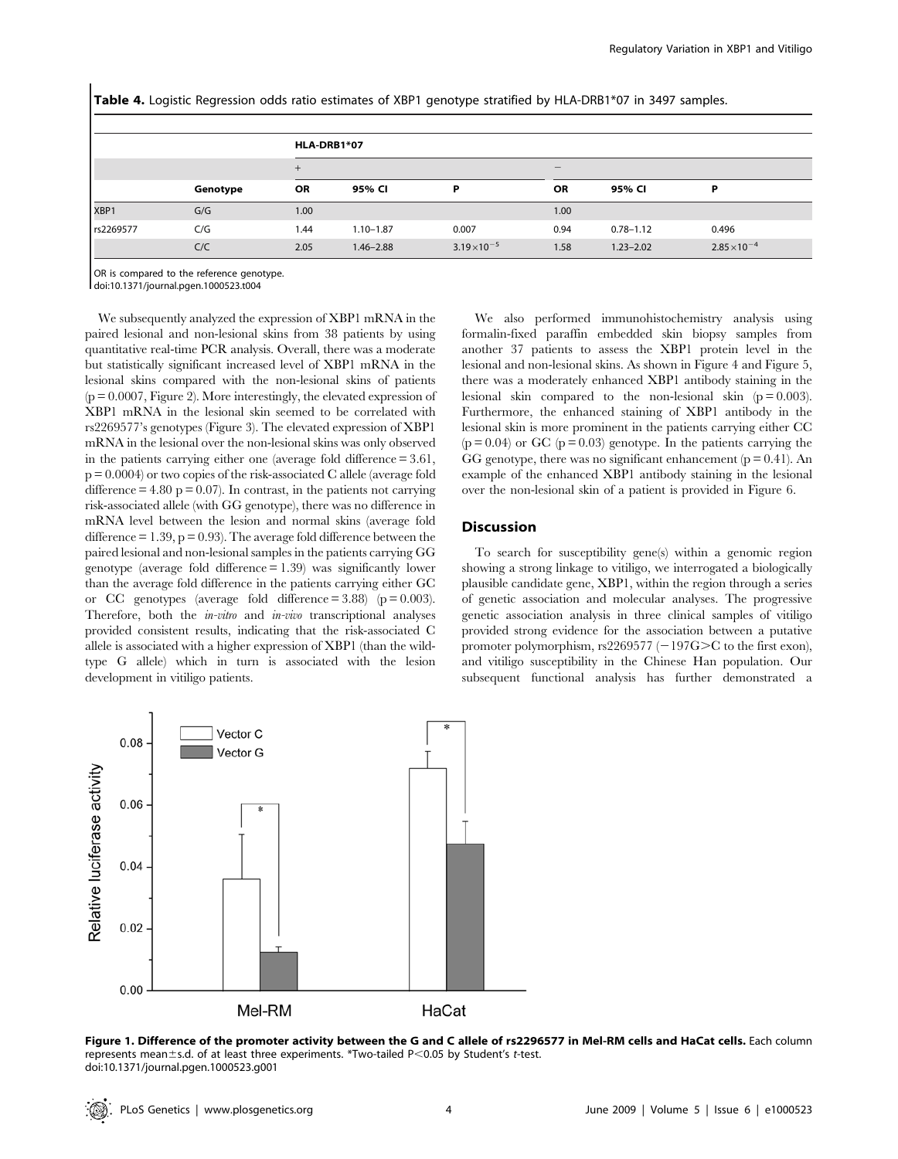Table 4. Logistic Regression odds ratio estimates of XBP1 genotype stratified by HLA-DRB1\*07 in 3497 samples.

|           |          |      | HLA-DRB1*07   |                       |                   |               |                       |  |  |
|-----------|----------|------|---------------|-----------------------|-------------------|---------------|-----------------------|--|--|
|           |          | $+$  |               |                       | $\qquad \qquad -$ |               |                       |  |  |
|           | Genotype | OR   | 95% CI        | P                     | OR                | 95% CI        | Þ                     |  |  |
| XBP1      | G/G      | 1.00 |               |                       | 1.00              |               |                       |  |  |
| rs2269577 | C/G      | 1.44 | $1.10 - 1.87$ | 0.007                 | 0.94              | $0.78 - 1.12$ | 0.496                 |  |  |
|           | C/C      | 2.05 | $1.46 - 2.88$ | $3.19 \times 10^{-5}$ | 1.58              | $1.23 - 2.02$ | $2.85 \times 10^{-4}$ |  |  |

OR is compared to the reference genotype.

doi:10.1371/journal.pgen.1000523.t004

We subsequently analyzed the expression of XBP1 mRNA in the paired lesional and non-lesional skins from 38 patients by using quantitative real-time PCR analysis. Overall, there was a moderate but statistically significant increased level of XBP1 mRNA in the lesional skins compared with the non-lesional skins of patients  $(p = 0.0007,$  Figure 2). More interestingly, the elevated expression of XBP1 mRNA in the lesional skin seemed to be correlated with rs2269577's genotypes (Figure 3). The elevated expression of XBP1 mRNA in the lesional over the non-lesional skins was only observed in the patients carrying either one (average fold difference = 3.61,  $p = 0.0004$  or two copies of the risk-associated C allele (average fold difference  $= 4.80$  p  $= 0.07$ ). In contrast, in the patients not carrying risk-associated allele (with GG genotype), there was no difference in mRNA level between the lesion and normal skins (average fold difference  $= 1.39$ ,  $p = 0.93$ ). The average fold difference between the paired lesional and non-lesional samples in the patients carrying GG genotype (average fold difference = 1.39) was significantly lower than the average fold difference in the patients carrying either GC or CC genotypes (average fold difference  $= 3.88$ ) (p  $= 0.003$ ). Therefore, both the *in-vitro* and *in-vivo* transcriptional analyses provided consistent results, indicating that the risk-associated C allele is associated with a higher expression of XBP1 (than the wildtype G allele) which in turn is associated with the lesion development in vitiligo patients.

We also performed immunohistochemistry analysis using formalin-fixed paraffin embedded skin biopsy samples from another 37 patients to assess the XBP1 protein level in the lesional and non-lesional skins. As shown in Figure 4 and Figure 5, there was a moderately enhanced XBP1 antibody staining in the lesional skin compared to the non-lesional skin  $(p = 0.003)$ . Furthermore, the enhanced staining of XBP1 antibody in the lesional skin is more prominent in the patients carrying either CC  $(p = 0.04)$  or GC  $(p = 0.03)$  genotype. In the patients carrying the GG genotype, there was no significant enhancement  $(p = 0.41)$ . An example of the enhanced XBP1 antibody staining in the lesional over the non-lesional skin of a patient is provided in Figure 6.

# Discussion

To search for susceptibility gene(s) within a genomic region showing a strong linkage to vitiligo, we interrogated a biologically plausible candidate gene, XBP1, within the region through a series of genetic association and molecular analyses. The progressive genetic association analysis in three clinical samples of vitiligo provided strong evidence for the association between a putative promoter polymorphism, rs2269577 ( $-197G>C$  to the first exon), and vitiligo susceptibility in the Chinese Han population. Our subsequent functional analysis has further demonstrated a



Figure 1. Difference of the promoter activity between the G and C allele of rs2296577 in Mel-RM cells and HaCat cells. Each column represents mean±s.d. of at least three experiments. \*Two-tailed P<0.05 by Student's t-test. doi:10.1371/journal.pgen.1000523.g001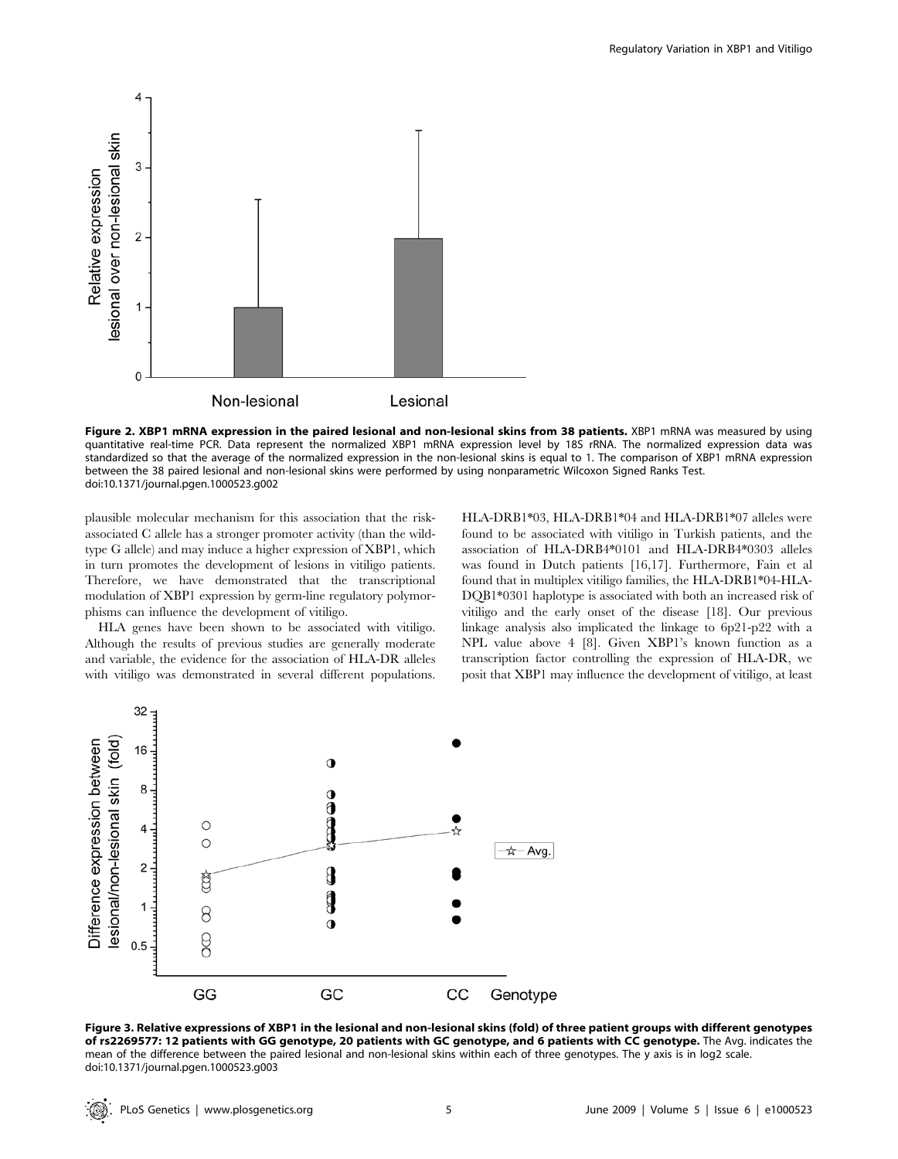

Figure 2. XBP1 mRNA expression in the paired lesional and non-lesional skins from 38 patients. XBP1 mRNA was measured by using quantitative real-time PCR. Data represent the normalized XBP1 mRNA expression level by 18S rRNA. The normalized expression data was standardized so that the average of the normalized expression in the non-lesional skins is equal to 1. The comparison of XBP1 mRNA expression between the 38 paired lesional and non-lesional skins were performed by using nonparametric Wilcoxon Signed Ranks Test. doi:10.1371/journal.pgen.1000523.g002

plausible molecular mechanism for this association that the riskassociated C allele has a stronger promoter activity (than the wildtype G allele) and may induce a higher expression of XBP1, which in turn promotes the development of lesions in vitiligo patients. Therefore, we have demonstrated that the transcriptional modulation of XBP1 expression by germ-line regulatory polymorphisms can influence the development of vitiligo.

HLA genes have been shown to be associated with vitiligo. Although the results of previous studies are generally moderate and variable, the evidence for the association of HLA-DR alleles with vitiligo was demonstrated in several different populations. HLA-DRB1\*03, HLA-DRB1\*04 and HLA-DRB1\*07 alleles were found to be associated with vitiligo in Turkish patients, and the association of HLA-DRB4\*0101 and HLA-DRB4\*0303 alleles was found in Dutch patients [16,17]. Furthermore, Fain et al found that in multiplex vitiligo families, the HLA-DRB1\*04-HLA-DQB1\*0301 haplotype is associated with both an increased risk of vitiligo and the early onset of the disease [18]. Our previous linkage analysis also implicated the linkage to 6p21-p22 with a NPL value above 4 [8]. Given XBP1's known function as a transcription factor controlling the expression of HLA-DR, we posit that XBP1 may influence the development of vitiligo, at least



Figure 3. Relative expressions of XBP1 in the lesional and non-lesional skins (fold) of three patient groups with different genotypes of rs2269577: 12 patients with GG genotype, 20 patients with GC genotype, and 6 patients with CC genotype. The Avg. indicates the mean of the difference between the paired lesional and non-lesional skins within each of three genotypes. The y axis is in log2 scale. doi:10.1371/journal.pgen.1000523.g003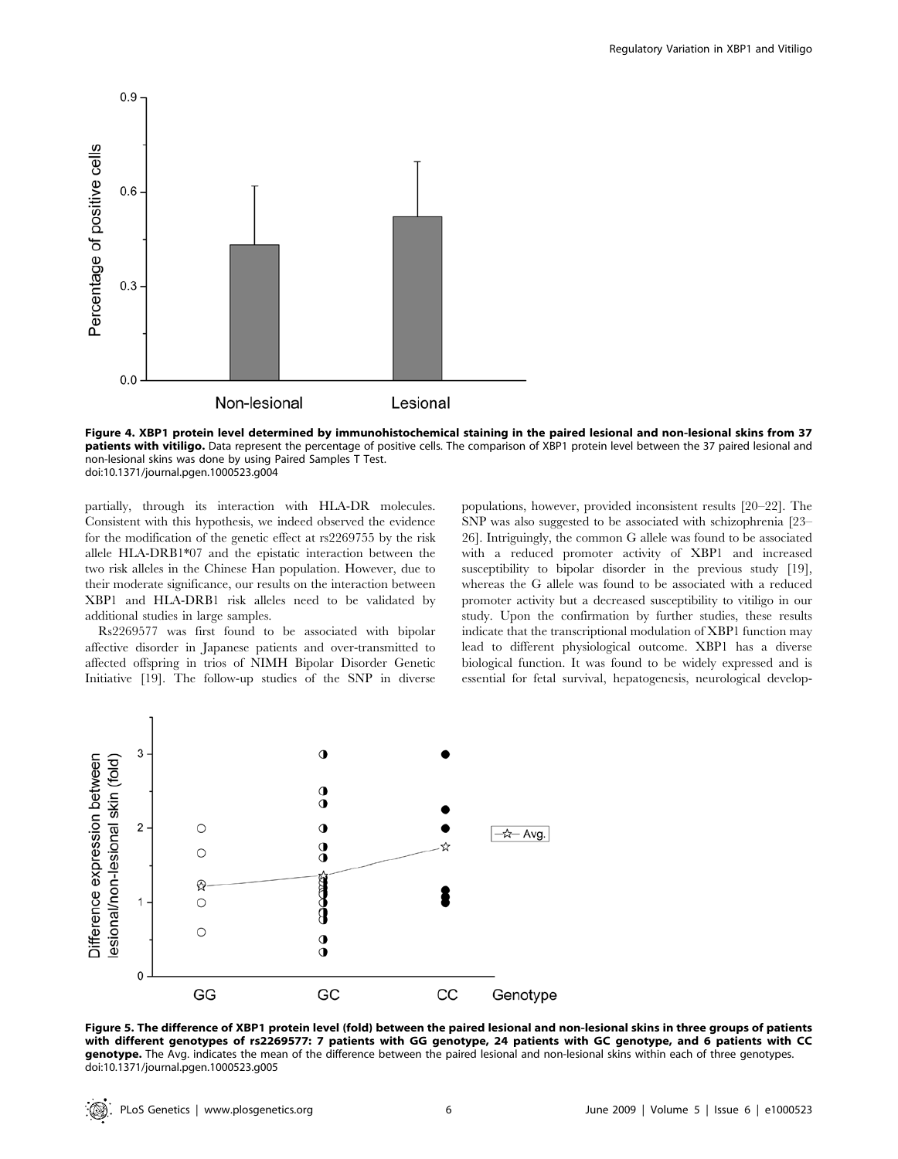

Figure 4. XBP1 protein level determined by immunohistochemical staining in the paired lesional and non-lesional skins from 37 patients with vitiligo. Data represent the percentage of positive cells. The comparison of XBP1 protein level between the 37 paired lesional and non-lesional skins was done by using Paired Samples T Test. doi:10.1371/journal.pgen.1000523.g004

partially, through its interaction with HLA-DR molecules. Consistent with this hypothesis, we indeed observed the evidence for the modification of the genetic effect at rs2269755 by the risk allele HLA-DRB1\*07 and the epistatic interaction between the two risk alleles in the Chinese Han population. However, due to their moderate significance, our results on the interaction between XBP1 and HLA-DRB1 risk alleles need to be validated by additional studies in large samples.

Rs2269577 was first found to be associated with bipolar affective disorder in Japanese patients and over-transmitted to affected offspring in trios of NIMH Bipolar Disorder Genetic Initiative [19]. The follow-up studies of the SNP in diverse populations, however, provided inconsistent results [20–22]. The SNP was also suggested to be associated with schizophrenia [23– 26]. Intriguingly, the common G allele was found to be associated with a reduced promoter activity of XBP1 and increased susceptibility to bipolar disorder in the previous study [19], whereas the G allele was found to be associated with a reduced promoter activity but a decreased susceptibility to vitiligo in our study. Upon the confirmation by further studies, these results indicate that the transcriptional modulation of XBP1 function may lead to different physiological outcome. XBP1 has a diverse biological function. It was found to be widely expressed and is essential for fetal survival, hepatogenesis, neurological develop-



Figure 5. The difference of XBP1 protein level (fold) between the paired lesional and non-lesional skins in three groups of patients with different genotypes of rs2269577: 7 patients with GG genotype, 24 patients with GC genotype, and 6 patients with CC genotype. The Avg. indicates the mean of the difference between the paired lesional and non-lesional skins within each of three genotypes. doi:10.1371/journal.pgen.1000523.g005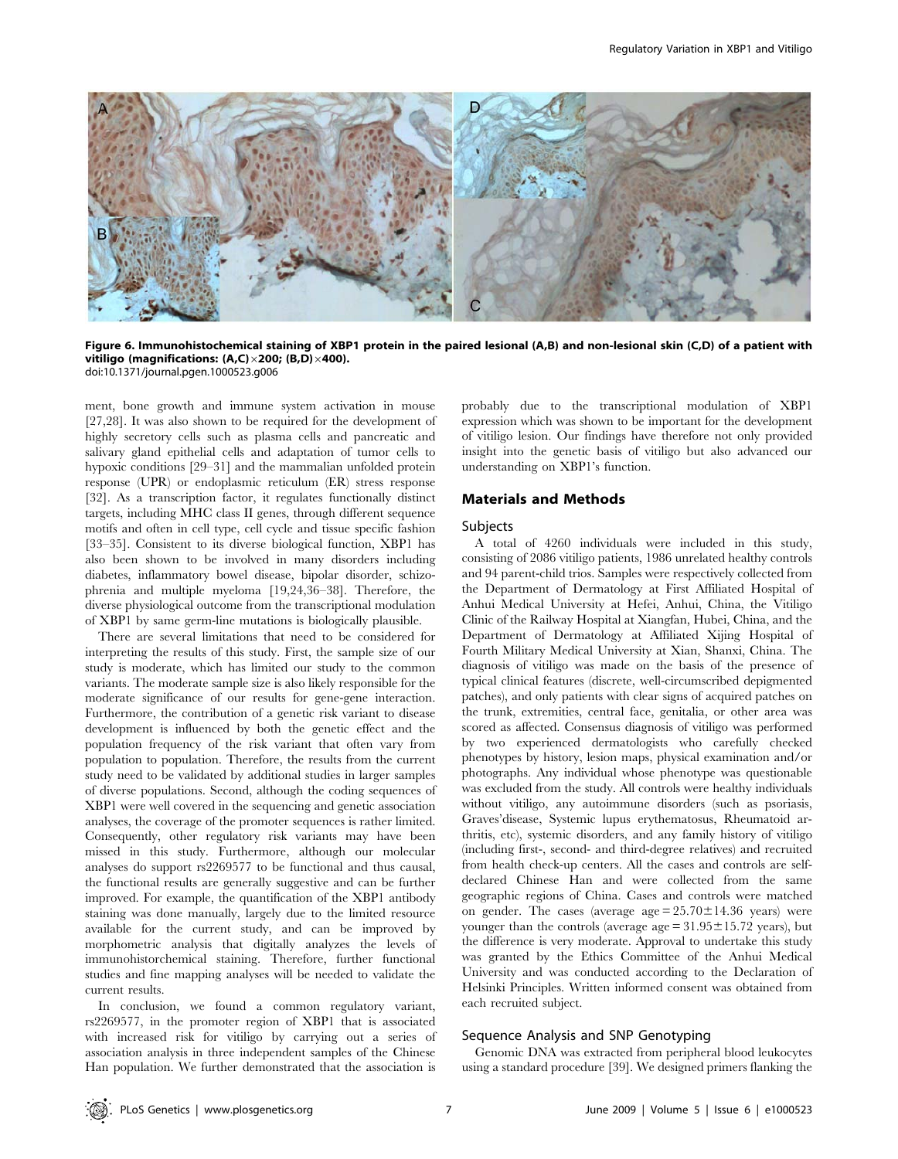

Figure 6. Immunohistochemical staining of XBP1 protein in the paired lesional (A,B) and non-lesional skin (C,D) of a patient with vitiligo (magnifications: (A,C) $\times$ 200; (B,D) $\times$ 400). doi:10.1371/journal.pgen.1000523.g006

ment, bone growth and immune system activation in mouse [27,28]. It was also shown to be required for the development of highly secretory cells such as plasma cells and pancreatic and salivary gland epithelial cells and adaptation of tumor cells to hypoxic conditions [29–31] and the mammalian unfolded protein response (UPR) or endoplasmic reticulum (ER) stress response [32]. As a transcription factor, it regulates functionally distinct targets, including MHC class II genes, through different sequence motifs and often in cell type, cell cycle and tissue specific fashion [33–35]. Consistent to its diverse biological function, XBP1 has also been shown to be involved in many disorders including diabetes, inflammatory bowel disease, bipolar disorder, schizophrenia and multiple myeloma [19,24,36–38]. Therefore, the diverse physiological outcome from the transcriptional modulation of XBP1 by same germ-line mutations is biologically plausible.

There are several limitations that need to be considered for interpreting the results of this study. First, the sample size of our study is moderate, which has limited our study to the common variants. The moderate sample size is also likely responsible for the moderate significance of our results for gene-gene interaction. Furthermore, the contribution of a genetic risk variant to disease development is influenced by both the genetic effect and the population frequency of the risk variant that often vary from population to population. Therefore, the results from the current study need to be validated by additional studies in larger samples of diverse populations. Second, although the coding sequences of XBP1 were well covered in the sequencing and genetic association analyses, the coverage of the promoter sequences is rather limited. Consequently, other regulatory risk variants may have been missed in this study. Furthermore, although our molecular analyses do support rs2269577 to be functional and thus causal, the functional results are generally suggestive and can be further improved. For example, the quantification of the XBP1 antibody staining was done manually, largely due to the limited resource available for the current study, and can be improved by morphometric analysis that digitally analyzes the levels of immunohistorchemical staining. Therefore, further functional studies and fine mapping analyses will be needed to validate the current results.

In conclusion, we found a common regulatory variant, rs2269577, in the promoter region of XBP1 that is associated with increased risk for vitiligo by carrying out a series of association analysis in three independent samples of the Chinese Han population. We further demonstrated that the association is probably due to the transcriptional modulation of XBP1 expression which was shown to be important for the development of vitiligo lesion. Our findings have therefore not only provided insight into the genetic basis of vitiligo but also advanced our understanding on XBP1's function.

## Materials and Methods

#### Subjects

A total of 4260 individuals were included in this study, consisting of 2086 vitiligo patients, 1986 unrelated healthy controls and 94 parent-child trios. Samples were respectively collected from the Department of Dermatology at First Affiliated Hospital of Anhui Medical University at Hefei, Anhui, China, the Vitiligo Clinic of the Railway Hospital at Xiangfan, Hubei, China, and the Department of Dermatology at Affiliated Xijing Hospital of Fourth Military Medical University at Xian, Shanxi, China. The diagnosis of vitiligo was made on the basis of the presence of typical clinical features (discrete, well-circumscribed depigmented patches), and only patients with clear signs of acquired patches on the trunk, extremities, central face, genitalia, or other area was scored as affected. Consensus diagnosis of vitiligo was performed by two experienced dermatologists who carefully checked phenotypes by history, lesion maps, physical examination and/or photographs. Any individual whose phenotype was questionable was excluded from the study. All controls were healthy individuals without vitiligo, any autoimmune disorders (such as psoriasis, Graves'disease, Systemic lupus erythematosus, Rheumatoid arthritis, etc), systemic disorders, and any family history of vitiligo (including first-, second- and third-degree relatives) and recruited from health check-up centers. All the cases and controls are selfdeclared Chinese Han and were collected from the same geographic regions of China. Cases and controls were matched on gender. The cases (average  $age = 25.70 \pm 14.36$  years) were younger than the controls (average  $age = 31.95 \pm 15.72$  years), but the difference is very moderate. Approval to undertake this study was granted by the Ethics Committee of the Anhui Medical University and was conducted according to the Declaration of Helsinki Principles. Written informed consent was obtained from each recruited subject.

#### Sequence Analysis and SNP Genotyping

Genomic DNA was extracted from peripheral blood leukocytes using a standard procedure [39]. We designed primers flanking the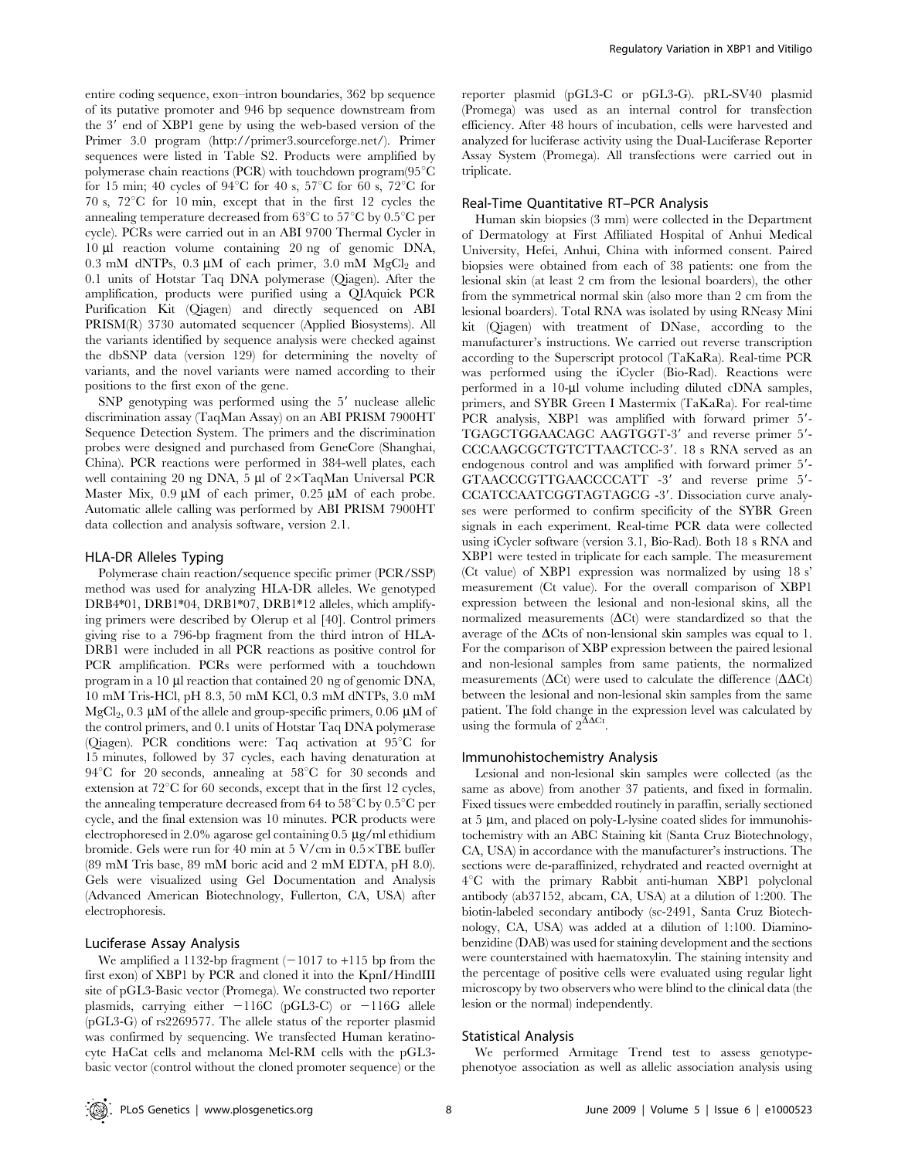entire coding sequence, exon–intron boundaries, 362 bp sequence of its putative promoter and 946 bp sequence downstream from the 3' end of XBP1 gene by using the web-based version of the Primer 3.0 program (http://primer3.sourceforge.net/). Primer sequences were listed in Table S2. Products were amplified by polymerase chain reactions (PCR) with touchdown program $(95^{\circ}C)$ for 15 min; 40 cycles of  $94^{\circ}$ C for 40 s,  $57^{\circ}$ C for 60 s,  $72^{\circ}$ C for 70 s,  $72^{\circ}$ C for 10 min, except that in the first 12 cycles the annealing temperature decreased from  $63^{\circ}$ C to  $57^{\circ}$ C by  $0.5^{\circ}$ C per cycle). PCRs were carried out in an ABI 9700 Thermal Cycler in 10 ml reaction volume containing 20 ng of genomic DNA, 0.3 mM dNTPs, 0.3  $\mu$ M of each primer, 3.0 mM MgCl<sub>2</sub> and 0.1 units of Hotstar Taq DNA polymerase (Qiagen). After the amplification, products were purified using a QIAquick PCR Purification Kit (Qiagen) and directly sequenced on ABI PRISM(R) 3730 automated sequencer (Applied Biosystems). All the variants identified by sequence analysis were checked against the dbSNP data (version 129) for determining the novelty of variants, and the novel variants were named according to their positions to the first exon of the gene.

 $SNP$  genotyping was performed using the  $5'$  nuclease allelic discrimination assay (TaqMan Assay) on an ABI PRISM 7900HT Sequence Detection System. The primers and the discrimination probes were designed and purchased from GeneCore (Shanghai, China). PCR reactions were performed in 384-well plates, each well containing 20 ng DNA, 5  $\mu$ l of 2×TaqMan Universal PCR Master Mix,  $0.9 \mu M$  of each primer,  $0.25 \mu M$  of each probe. Automatic allele calling was performed by ABI PRISM 7900HT data collection and analysis software, version 2.1.

#### HLA-DR Alleles Typing

Polymerase chain reaction/sequence specific primer (PCR/SSP) method was used for analyzing HLA-DR alleles. We genotyped DRB4\*01, DRB1\*04, DRB1\*07, DRB1\*12 alleles, which amplifying primers were described by Olerup et al [40]. Control primers giving rise to a 796-bp fragment from the third intron of HLA-DRB1 were included in all PCR reactions as positive control for PCR amplification. PCRs were performed with a touchdown program in a 10 µl reaction that contained 20 ng of genomic DNA, 10 mM Tris-HCl, pH 8.3, 50 mM KCl, 0.3 mM dNTPs, 3.0 mM  $MgCl<sub>2</sub>$ , 0.3 µM of the allele and group-specific primers, 0.06 µM of the control primers, and 0.1 units of Hotstar Taq DNA polymerase (Qiagen). PCR conditions were: Taq activation at  $95^{\circ}$ C for 15 minutes, followed by 37 cycles, each having denaturation at  $94^{\circ}$ C for 20 seconds, annealing at  $58^{\circ}$ C for 30 seconds and extension at  $72^{\circ}$ C for 60 seconds, except that in the first 12 cycles, the annealing temperature decreased from 64 to  $58^{\circ}$ C by  $0.5^{\circ}$ C per cycle, and the final extension was 10 minutes. PCR products were electrophoresed in 2.0% agarose gel containing  $0.5 \mu$ g/ml ethidium bromide. Gels were run for 40 min at  $5$  V/cm in  $0.5 \times$ TBE buffer (89 mM Tris base, 89 mM boric acid and 2 mM EDTA, pH 8.0). Gels were visualized using Gel Documentation and Analysis (Advanced American Biotechnology, Fullerton, CA, USA) after electrophoresis.

## Luciferase Assay Analysis

We amplified a 1132-bp fragment  $(-1017$  to  $+115$  bp from the first exon) of XBP1 by PCR and cloned it into the KpnI/HindIII site of pGL3-Basic vector (Promega). We constructed two reporter plasmids, carrying either  $-116C$  (pGL3-C) or  $-116G$  allele (pGL3-G) of rs2269577. The allele status of the reporter plasmid was confirmed by sequencing. We transfected Human keratinocyte HaCat cells and melanoma Mel-RM cells with the pGL3 basic vector (control without the cloned promoter sequence) or the reporter plasmid (pGL3-C or pGL3-G). pRL-SV40 plasmid (Promega) was used as an internal control for transfection efficiency. After 48 hours of incubation, cells were harvested and analyzed for luciferase activity using the Dual-Luciferase Reporter Assay System (Promega). All transfections were carried out in triplicate.

## Real-Time Quantitative RT–PCR Analysis

Human skin biopsies (3 mm) were collected in the Department of Dermatology at First Affiliated Hospital of Anhui Medical University, Hefei, Anhui, China with informed consent. Paired biopsies were obtained from each of 38 patients: one from the lesional skin (at least 2 cm from the lesional boarders), the other from the symmetrical normal skin (also more than 2 cm from the lesional boarders). Total RNA was isolated by using RNeasy Mini kit (Qiagen) with treatment of DNase, according to the manufacturer's instructions. We carried out reverse transcription according to the Superscript protocol (TaKaRa). Real-time PCR was performed using the iCycler (Bio-Rad). Reactions were performed in a  $10$ -µl volume including diluted cDNA samples, primers, and SYBR Green I Mastermix (TaKaRa). For real-time PCR analysis, XBP1 was amplified with forward primer 5'-TGAGCTGGAACAGC AAGTGGT-3' and reverse primer 5'-CCCAAGCGCTGTCTTAACTCC-3'. 18 s RNA served as an endogenous control and was amplified with forward primer 5'-GTAACCCGTTGAACCCCATT -3' and reverse prime 5'-CCATCCAATCGGTAGTAGCG -3'. Dissociation curve analyses were performed to confirm specificity of the SYBR Green signals in each experiment. Real-time PCR data were collected using iCycler software (version 3.1, Bio-Rad). Both 18 s RNA and XBP1 were tested in triplicate for each sample. The measurement (Ct value) of XBP1 expression was normalized by using 18 s' measurement (Ct value). For the overall comparison of XBP1 expression between the lesional and non-lesional skins, all the normalized measurements  $(\Delta Ct)$  were standardized so that the average of the  $\Delta C$ ts of non-lensional skin samples was equal to 1. For the comparison of XBP expression between the paired lesional and non-lesional samples from same patients, the normalized measurements ( $\Delta$ Ct) were used to calculate the difference ( $\Delta$  $\Delta$ Ct) between the lesional and non-lesional skin samples from the same patient. The fold change in the expression level was calculated by using the formula of  $2^{\text{XACt}}$ .

# Immunohistochemistry Analysis

Lesional and non-lesional skin samples were collected (as the same as above) from another 37 patients, and fixed in formalin. Fixed tissues were embedded routinely in paraffin, serially sectioned at  $5 \mu m$ , and placed on poly-L-lysine coated slides for immunohistochemistry with an ABC Staining kit (Santa Cruz Biotechnology, CA, USA) in accordance with the manufacturer's instructions. The sections were de-paraffinized, rehydrated and reacted overnight at 4°C with the primary Rabbit anti-human XBP1 polyclonal antibody (ab37152, abcam, CA, USA) at a dilution of 1:200. The biotin-labeled secondary antibody (sc-2491, Santa Cruz Biotechnology, CA, USA) was added at a dilution of 1:100. Diaminobenzidine (DAB) was used for staining development and the sections were counterstained with haematoxylin. The staining intensity and the percentage of positive cells were evaluated using regular light microscopy by two observers who were blind to the clinical data (the lesion or the normal) independently.

## Statistical Analysis

We performed Armitage Trend test to assess genotypephenotyoe association as well as allelic association analysis using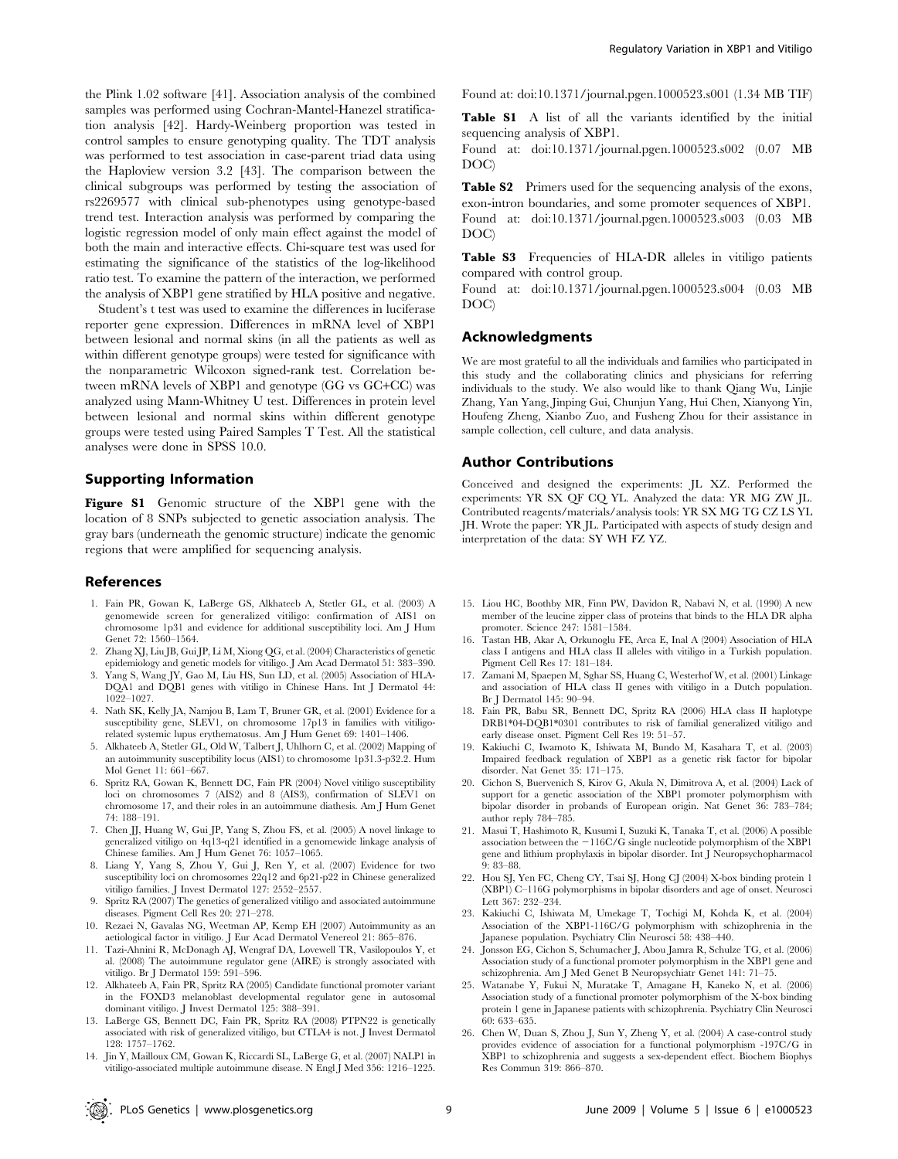the Plink 1.02 software [41]. Association analysis of the combined samples was performed using Cochran-Mantel-Hanezel stratification analysis [42]. Hardy-Weinberg proportion was tested in control samples to ensure genotyping quality. The TDT analysis was performed to test association in case-parent triad data using the Haploview version 3.2 [43]. The comparison between the clinical subgroups was performed by testing the association of rs2269577 with clinical sub-phenotypes using genotype-based trend test. Interaction analysis was performed by comparing the logistic regression model of only main effect against the model of both the main and interactive effects. Chi-square test was used for estimating the significance of the statistics of the log-likelihood ratio test. To examine the pattern of the interaction, we performed the analysis of XBP1 gene stratified by HLA positive and negative.

Student's t test was used to examine the differences in luciferase reporter gene expression. Differences in mRNA level of XBP1 between lesional and normal skins (in all the patients as well as within different genotype groups) were tested for significance with the nonparametric Wilcoxon signed-rank test. Correlation between mRNA levels of XBP1 and genotype (GG vs GC+CC) was analyzed using Mann-Whitney U test. Differences in protein level between lesional and normal skins within different genotype groups were tested using Paired Samples T Test. All the statistical analyses were done in SPSS 10.0.

# Supporting Information

Figure S1 Genomic structure of the XBP1 gene with the location of 8 SNPs subjected to genetic association analysis. The gray bars (underneath the genomic structure) indicate the genomic regions that were amplified for sequencing analysis.

#### References

- 1. Fain PR, Gowan K, LaBerge GS, Alkhateeb A, Stetler GL, et al. (2003) A genomewide screen for generalized vitiligo: confirmation of AIS1 on chromosome 1p31 and evidence for additional susceptibility loci. Am J Hum Genet 72: 1560–1564.
- 2. Zhang XJ, Liu JB, Gui JP, Li M, Xiong QG, et al. (2004) Characteristics of genetic epidemiology and genetic models for vitiligo. J Am Acad Dermatol 51: 383–390.
- 3. Yang S, Wang JY, Gao M, Liu HS, Sun LD, et al. (2005) Association of HLA-DQA1 and DQB1 genes with vitiligo in Chinese Hans. Int J Dermatol 44: 1022–1027.
- 4. Nath SK, Kelly JA, Namjou B, Lam T, Bruner GR, et al. (2001) Evidence for a susceptibility gene, SLEV1, on chromosome 17p13 in families with vitiligorelated systemic lupus erythematosus. Am J Hum Genet 69: 1401–1406.
- 5. Alkhateeb A, Stetler GL, Old W, Talbert J, Uhlhorn C, et al. (2002) Mapping of an autoimmunity susceptibility locus (AIS1) to chromosome 1p31.3-p32.2. Hum Mol Genet 11: 661–667.
- 6. Spritz RA, Gowan K, Bennett DC, Fain PR (2004) Novel vitiligo susceptibility loci on chromosomes 7 (AIS2) and 8 (AIS3), confirmation of SLEV1 on chromosome 17, and their roles in an autoimmune diathesis. Am J Hum Genet 74: 188–191.
- 7. Chen JJ, Huang W, Gui JP, Yang S, Zhou FS, et al. (2005) A novel linkage to generalized vitiligo on 4q13-q21 identified in a genomewide linkage analysis of Chinese families. Am J Hum Genet 76: 1057–1065.
- 8. Liang Y, Yang S, Zhou Y, Gui J, Ren Y, et al. (2007) Evidence for two susceptibility loci on chromosomes 22q12 and 6p21-p22 in Chinese generalized vitiligo families. J Invest Dermatol 127: 2552–2557.
- 9. Spritz RA (2007) The genetics of generalized vitiligo and associated autoimmune diseases. Pigment Cell Res 20: 271–278.
- 10. Rezaei N, Gavalas NG, Weetman AP, Kemp EH (2007) Autoimmunity as an aetiological factor in vitiligo. J Eur Acad Dermatol Venereol 21: 865–876.
- 11. Tazi-Ahnini R, McDonagh AJ, Wengraf DA, Lovewell TR, Vasilopoulos Y, et al. (2008) The autoimmune regulator gene (AIRE) is strongly associated with vitiligo. Br J Dermatol 159: 591–596.
- 12. Alkhateeb A, Fain PR, Spritz RA (2005) Candidate functional promoter variant in the FOXD3 melanoblast developmental regulator gene in autosomal dominant vitiligo. J Invest Dermatol 125: 388–391.
- 13. LaBerge GS, Bennett DC, Fain PR, Spritz RA (2008) PTPN22 is genetically associated with risk of generalized vitiligo, but CTLA4 is not. J Invest Dermatol 128: 1757–1762.
- 14. Jin Y, Mailloux CM, Gowan K, Riccardi SL, LaBerge G, et al. (2007) NALP1 in vitiligo-associated multiple autoimmune disease. N Engl J Med 356: 1216–1225.

Found at: doi:10.1371/journal.pgen.1000523.s001 (1.34 MB TIF)

Table S1 A list of all the variants identified by the initial sequencing analysis of XBP1.

Found at: doi:10.1371/journal.pgen.1000523.s002 (0.07 MB DOC)

Table S2 Primers used for the sequencing analysis of the exons, exon-intron boundaries, and some promoter sequences of XBP1. Found at: doi:10.1371/journal.pgen.1000523.s003 (0.03 MB DOC)

Table S3 Frequencies of HLA-DR alleles in vitiligo patients compared with control group.

Found at: doi:10.1371/journal.pgen.1000523.s004 (0.03 MB DOC)

#### Acknowledgments

We are most grateful to all the individuals and families who participated in this study and the collaborating clinics and physicians for referring individuals to the study. We also would like to thank Qiang Wu, Linjie Zhang, Yan Yang, Jinping Gui, Chunjun Yang, Hui Chen, Xianyong Yin, Houfeng Zheng, Xianbo Zuo, and Fusheng Zhou for their assistance in sample collection, cell culture, and data analysis.

#### Author Contributions

Conceived and designed the experiments: JL XZ. Performed the experiments: YR SX QF CQ YL. Analyzed the data: YR MG ZW JL. Contributed reagents/materials/analysis tools: YR SX MG TG CZ LS YL JH. Wrote the paper: YR JL. Participated with aspects of study design and interpretation of the data: SY WH FZ YZ.

- 15. Liou HC, Boothby MR, Finn PW, Davidon R, Nabavi N, et al. (1990) A new member of the leucine zipper class of proteins that binds to the HLA DR alpha promoter. Science 247: 1581–1584.
- 16. Tastan HB, Akar A, Orkunoglu FE, Arca E, Inal A (2004) Association of HLA class I antigens and HLA class II alleles with vitiligo in a Turkish population. Pigment Cell Res 17: 181–184.
- 17. Zamani M, Spaepen M, Sghar SS, Huang C, Westerhof W, et al. (2001) Linkage and association of HLA class II genes with vitiligo in a Dutch population. Br J Dermatol 145: 90–94.
- 18. Fain PR, Babu SR, Bennett DC, Spritz RA (2006) HLA class II haplotype DRB1\*04-DQB1\*0301 contributes to risk of familial generalized vitiligo and early disease onset. Pigment Cell Res 19: 51–57.
- 19. Kakiuchi C, Iwamoto K, Ishiwata M, Bundo M, Kasahara T, et al. (2003) Impaired feedback regulation of XBP1 as a genetic risk factor for bipolar disorder. Nat Genet 35: 171–175.
- 20. Cichon S, Buervenich S, Kirov G, Akula N, Dimitrova A, et al. (2004) Lack of support for a genetic association of the XBP1 promoter polymorphism with bipolar disorder in probands of European origin. Nat Genet 36: 783–784; author reply 784–785.
- 21. Masui T, Hashimoto R, Kusumi I, Suzuki K, Tanaka T, et al. (2006) A possible association between the  $-116C/G$  single nucleotide polymorphism of the XBP1 gene and lithium prophylaxis in bipolar disorder. Int J Neuropsychopharmacol 9: 83–88.
- 22. Hou SJ, Yen FC, Cheng CY, Tsai SJ, Hong CJ (2004) X-box binding protein 1 (XBP1) C–116G polymorphisms in bipolar disorders and age of onset. Neurosci Lett 367: 232–234.
- 23. Kakiuchi C, Ishiwata M, Umekage T, Tochigi M, Kohda K, et al. (2004) Association of the XBP1-116C/G polymorphism with schizophrenia in the Japanese population. Psychiatry Clin Neurosci 58: 438–440.
- 24. Jonsson EG, Cichon S, Schumacher J, Abou Jamra R, Schulze TG, et al. (2006) Association study of a functional promoter polymorphism in the XBP1 gene and schizophrenia. Am J Med Genet B Neuropsychiatr Genet 141: 71–75.
- 25. Watanabe Y, Fukui N, Muratake T, Amagane H, Kaneko N, et al. (2006) Association study of a functional promoter polymorphism of the X-box binding protein 1 gene in Japanese patients with schizophrenia. Psychiatry Clin Neurosci 60: 633–635.
- 26. Chen W, Duan S, Zhou J, Sun Y, Zheng Y, et al. (2004) A case-control study provides evidence of association for a functional polymorphism -197C/G in XBP1 to schizophrenia and suggests a sex-dependent effect. Biochem Biophys Res Commun 319: 866–870.